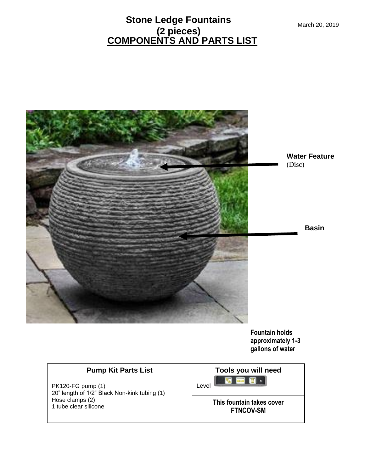### **COMPONENTS AND PARTS LIST Stone Ledge Fountains (2 pieces)**



**Fountain holds approximately 1-3 gallons of water**

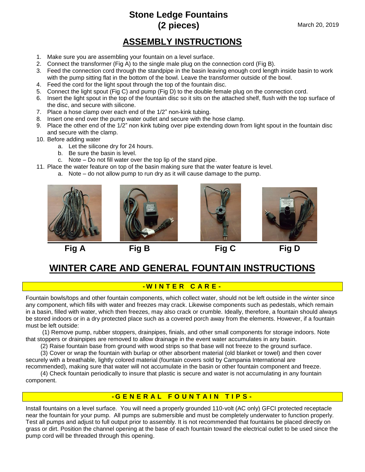# **Stone Ledge Fountains (2 pieces)**

### **ASSEMBLY INSTRUCTIONS**

- 1. Make sure you are assembling your fountain on a level surface.
- 2. Connect the transformer (Fig A) to the single male plug on the connection cord (Fig B).
- 3. Feed the connection cord through the standpipe in the basin leaving enough cord length inside basin to work with the pump sitting flat in the bottom of the bowl. Leave the transformer outside of the bowl.
- 4. Feed the cord for the light spout through the top of the fountain disc.
- 5. Connect the light spout (Fig C) and pump (Fig D) to the double female plug on the connection cord.
- 6. Insert the light spout in the top of the fountain disc so it sits on the attached shelf, flush with the top surface of the disc, and secure with silicone.
- 7. Place a hose clamp over each end of the 1/2" non-kink tubing.
- 8. Insert one end over the pump water outlet and secure with the hose clamp.
- 9. Place the other end of the 1/2" non kink tubing over pipe extending down from light spout in the fountain disc and secure with the clamp.
- 10. Before adding water
	- a. Let the silicone dry for 24 hours.

- b. Be sure the basin is level.
- c. Note Do not fill water over the top lip of the stand pipe.
- 11. Place the water feature on top of the basin making sure that the water feature is level.
	- a. Note do not allow pump to run dry as it will cause damage to the pump.









**Fig A Fig B Fig C Fig D**

## **WINTER CARE AND GENERAL FOUNTAIN INSTRUCTIONS**

#### **- W I N T E R C A R E -**

Fountain bowls/tops and other fountain components, which collect water, should not be left outside in the winter since any component, which fills with water and freezes may crack. Likewise components such as pedestals, which remain in a basin, filled with water, which then freezes, may also crack or crumble. Ideally, therefore, a fountain should always be stored indoors or in a dry protected place such as a covered porch away from the elements. However, if a fountain must be left outside:

 (1) Remove pump, rubber stoppers, drainpipes, finials, and other small components for storage indoors. Note that stoppers or drainpipes are removed to allow drainage in the event water accumulates in any basin.

(2) Raise fountain base from ground with wood strips so that base will not freeze to the ground surface.

 (3) Cover or wrap the fountain with burlap or other absorbent material (old blanket or towel) and then cover securely with a breathable, lightly colored material (fountain covers sold by Campania International are

recommended), making sure that water will not accumulate in the basin or other fountain component and freeze. (4) Check fountain periodically to insure that plastic is secure and water is not accumulating in any fountain

component.

#### **- G E N E R A L F O U N T A I N T I P S -**

Install fountains on a level surface. You will need a properly grounded 110-volt (AC only) GFCI protected receptacle near the fountain for your pump. All pumps are submersible and must be completely underwater to function properly. Test all pumps and adjust to full output prior to assembly. It is not recommended that fountains be placed directly on grass or dirt. Position the channel opening at the base of each fountain toward the electrical outlet to be used since the pump cord will be threaded through this opening.